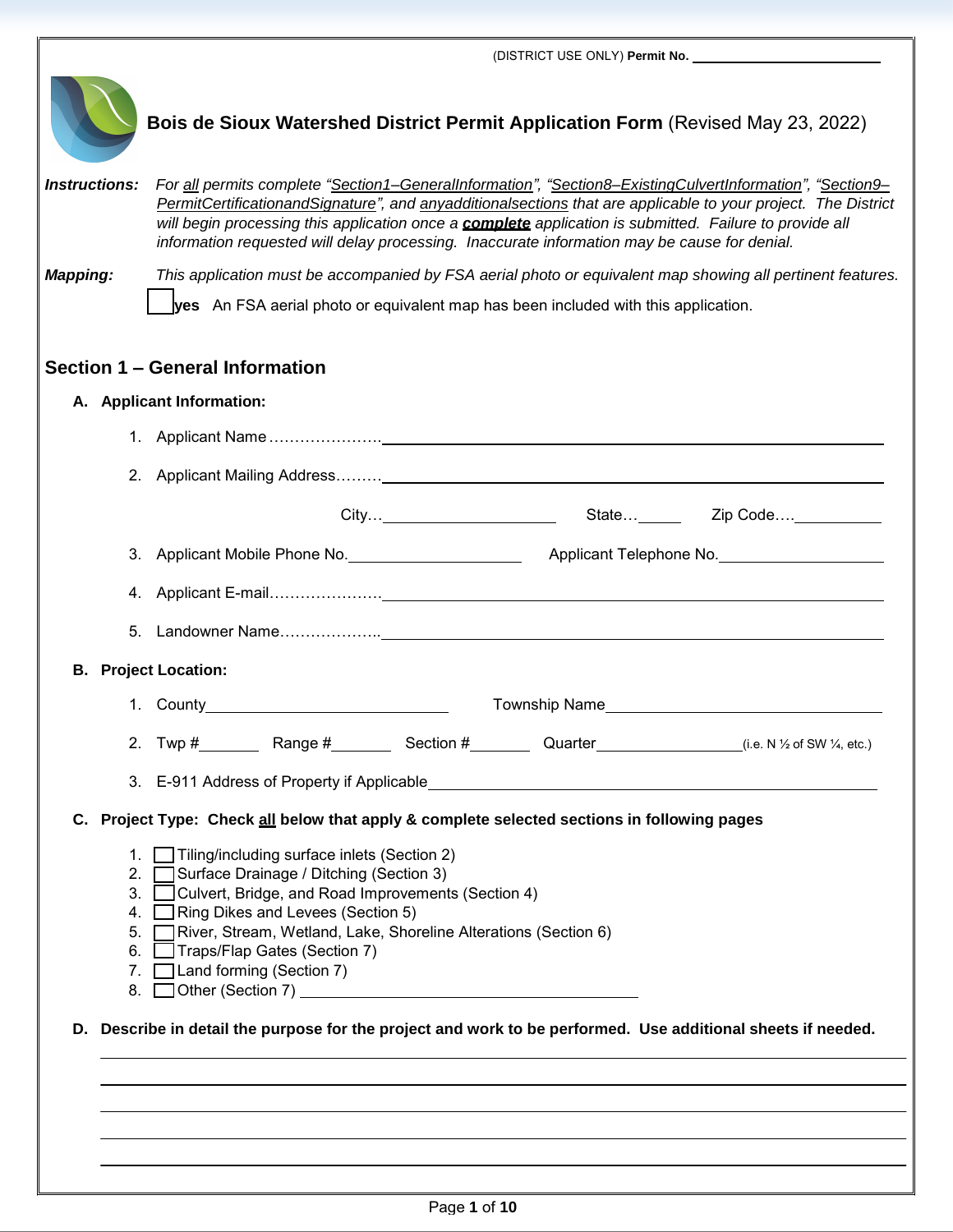|                      |                                                                                    | Bois de Sioux Watershed District Permit Application Form (Revised May 23, 2022)                                                                                                                                                                                                                                                                                                                                                              |  |  |  |  |  |  |
|----------------------|------------------------------------------------------------------------------------|----------------------------------------------------------------------------------------------------------------------------------------------------------------------------------------------------------------------------------------------------------------------------------------------------------------------------------------------------------------------------------------------------------------------------------------------|--|--|--|--|--|--|
| <b>Instructions:</b> |                                                                                    | For all permits complete "Section1-GeneralInformation", "Section8-ExistingCulvertInformation", "Section9-<br>PermitCertificationandSignature", and anyadditionalsections that are applicable to your project. The District<br>will begin processing this application once a <b>complete</b> application is submitted. Failure to provide all<br>information requested will delay processing. Inaccurate information may be cause for denial. |  |  |  |  |  |  |
| <b>Mapping:</b>      |                                                                                    | This application must be accompanied by FSA aerial photo or equivalent map showing all pertinent features.                                                                                                                                                                                                                                                                                                                                   |  |  |  |  |  |  |
|                      | yes An FSA aerial photo or equivalent map has been included with this application. |                                                                                                                                                                                                                                                                                                                                                                                                                                              |  |  |  |  |  |  |
|                      |                                                                                    |                                                                                                                                                                                                                                                                                                                                                                                                                                              |  |  |  |  |  |  |
|                      |                                                                                    | Section 1 – General Information                                                                                                                                                                                                                                                                                                                                                                                                              |  |  |  |  |  |  |
|                      |                                                                                    | A. Applicant Information:                                                                                                                                                                                                                                                                                                                                                                                                                    |  |  |  |  |  |  |
|                      |                                                                                    |                                                                                                                                                                                                                                                                                                                                                                                                                                              |  |  |  |  |  |  |
|                      |                                                                                    |                                                                                                                                                                                                                                                                                                                                                                                                                                              |  |  |  |  |  |  |
|                      |                                                                                    |                                                                                                                                                                                                                                                                                                                                                                                                                                              |  |  |  |  |  |  |
|                      |                                                                                    |                                                                                                                                                                                                                                                                                                                                                                                                                                              |  |  |  |  |  |  |
|                      | 4.                                                                                 |                                                                                                                                                                                                                                                                                                                                                                                                                                              |  |  |  |  |  |  |
|                      | 5.                                                                                 |                                                                                                                                                                                                                                                                                                                                                                                                                                              |  |  |  |  |  |  |
|                      |                                                                                    | <b>B.</b> Project Location:                                                                                                                                                                                                                                                                                                                                                                                                                  |  |  |  |  |  |  |
|                      |                                                                                    |                                                                                                                                                                                                                                                                                                                                                                                                                                              |  |  |  |  |  |  |
|                      |                                                                                    | 2. Twp $\#$ Range $\#$ Section $\#$ Quarter $\#$ (i.e. N 1/2 of SW 1/4, etc.)                                                                                                                                                                                                                                                                                                                                                                |  |  |  |  |  |  |
|                      |                                                                                    |                                                                                                                                                                                                                                                                                                                                                                                                                                              |  |  |  |  |  |  |
|                      |                                                                                    | C. Project Type: Check all below that apply & complete selected sections in following pages                                                                                                                                                                                                                                                                                                                                                  |  |  |  |  |  |  |
|                      | 1.<br>2.<br>3.<br>4.<br>5.<br>6.                                                   | Tiling/including surface inlets (Section 2)<br>Surface Drainage / Ditching (Section 3)<br>Culvert, Bridge, and Road Improvements (Section 4)<br>Ring Dikes and Levees (Section 5)<br>River, Stream, Wetland, Lake, Shoreline Alterations (Section 6)<br>Traps/Flap Gates (Section 7)<br>7. Land forming (Section 7)                                                                                                                          |  |  |  |  |  |  |
|                      |                                                                                    | D. Describe in detail the purpose for the project and work to be performed. Use additional sheets if needed.                                                                                                                                                                                                                                                                                                                                 |  |  |  |  |  |  |
|                      |                                                                                    |                                                                                                                                                                                                                                                                                                                                                                                                                                              |  |  |  |  |  |  |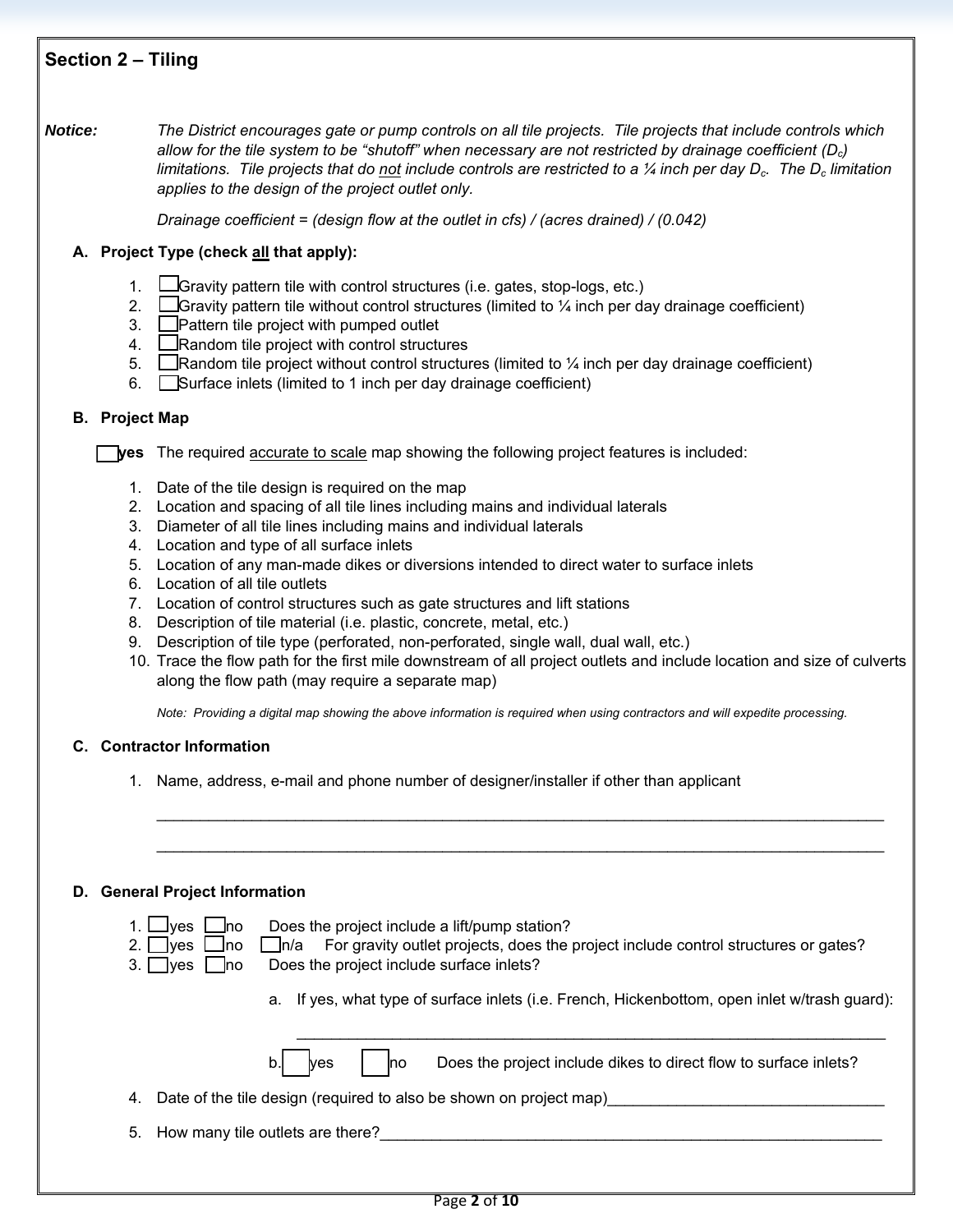# **Section 2 – Tiling**

*Notice: The District encourages gate or pump controls on all tile projects. Tile projects that include controls which allow for the tile system to be "shutoff" when necessary are not restricted by drainage coefficient (Dc) limitations. Tile projects that do not include controls are restricted to a 1/4 inch per day D<sub>c</sub>. The D<sub>c</sub> limitation applies to the design of the project outlet only.*

*Drainage coefficient = (design flow at the outlet in cfs) / (acres drained) / (0.042)*

## **A. Project Type (check all that apply):**

- 1.  $\Box$  Gravity pattern tile with control structures (i.e. gates, stop-logs, etc.)
- 2.  $\Box$  Gravity pattern tile without control structures (limited to  $\frac{1}{4}$  inch per day drainage coefficient)
- 3. Pattern tile project with pumped outlet
- 4. Random tile project with control structures
- 5. Random tile project without control structures (limited to  $\frac{1}{4}$  inch per day drainage coefficient)
- 6. Surface inlets (limited to 1 inch per day drainage coefficient)

## **B. Project Map**

**Lyes** The required accurate to scale map showing the following project features is included:

- 1. Date of the tile design is required on the map
- 2. Location and spacing of all tile lines including mains and individual laterals
- 3. Diameter of all tile lines including mains and individual laterals
- 4. Location and type of all surface inlets
- 5. Location of any man-made dikes or diversions intended to direct water to surface inlets
- 6. Location of all tile outlets
- 7. Location of control structures such as gate structures and lift stations
- 8. Description of tile material (i.e. plastic, concrete, metal, etc.)
- 9. Description of tile type (perforated, non-perforated, single wall, dual wall, etc.)
- 10. Trace the flow path for the first mile downstream of all project outlets and include location and size of culverts along the flow path (may require a separate map)

\_\_\_\_\_\_\_\_\_\_\_\_\_\_\_\_\_\_\_\_\_\_\_\_\_\_\_\_\_\_\_\_\_\_\_\_\_\_\_\_\_\_\_\_\_\_\_\_\_\_\_\_\_\_\_\_\_\_\_\_\_\_\_\_\_\_\_\_\_\_\_\_\_\_\_\_\_\_\_\_\_\_\_\_

\_\_\_\_\_\_\_\_\_\_\_\_\_\_\_\_\_\_\_\_\_\_\_\_\_\_\_\_\_\_\_\_\_\_\_\_\_\_\_\_\_\_\_\_\_\_\_\_\_\_\_\_\_\_\_\_\_\_\_\_\_\_\_\_\_\_\_\_\_\_\_\_\_\_\_\_\_\_\_\_\_\_\_\_

*Note: Providing a digital map showing the above information is required when using contractors and will expedite processing.* 

## **C. Contractor Information**

1. Name, address, e-mail and phone number of designer/installer if other than applicant

## **D. General Project Information**

1.  $\Box$  yes  $\Box$  ho Does the project include a lift/pump station?

2. yes  $\Box$  no  $\Box$  n/a For gravity outlet projects, does the project include control structures or gates?

- 3. yes  $\Box$  no Does the project include surface inlets?
	- a. If yes, what type of surface inlets (i.e. French, Hickenbottom, open inlet w/trash guard):

\_\_\_\_\_\_\_\_\_\_\_\_\_\_\_\_\_\_\_\_\_\_\_\_\_\_\_\_\_\_\_\_\_\_\_\_\_\_\_\_\_\_\_\_\_\_\_\_\_\_\_\_\_\_\_\_\_\_\_\_\_\_\_\_\_\_\_\_

 $\log$  |  $\log$  Does the project include dikes to direct flow to surface inlets?

- 4. Date of the tile design (required to also be shown on project map)
- 5. How many tile outlets are there?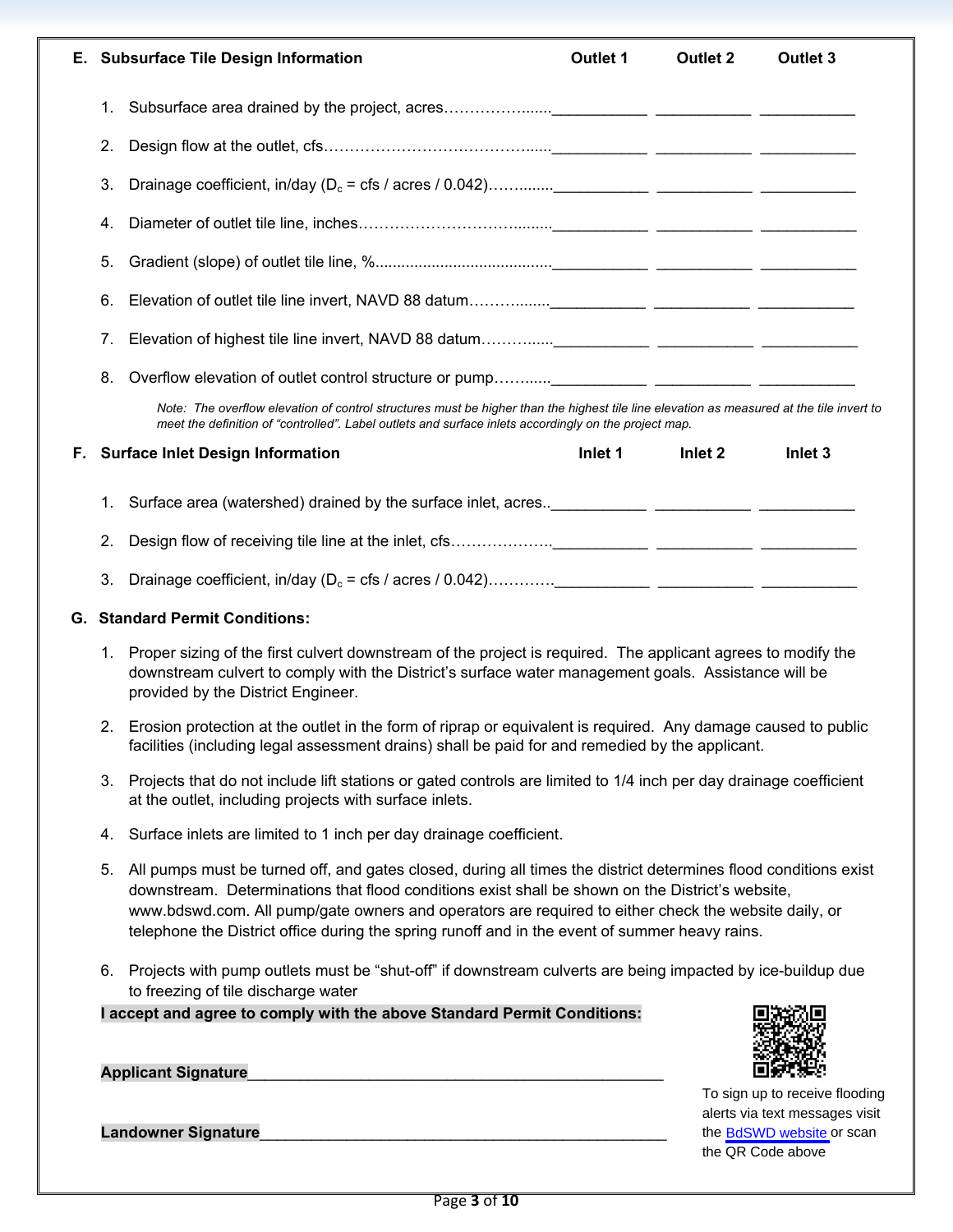|    |    | E. Subsurface Tile Design Information                                                                                                                                                                                                                                                                                                                                                                                         | <b>Outlet 1</b> | <b>Outlet 2</b> | Outlet 3                                                                                      |  |  |
|----|----|-------------------------------------------------------------------------------------------------------------------------------------------------------------------------------------------------------------------------------------------------------------------------------------------------------------------------------------------------------------------------------------------------------------------------------|-----------------|-----------------|-----------------------------------------------------------------------------------------------|--|--|
|    |    |                                                                                                                                                                                                                                                                                                                                                                                                                               |                 |                 |                                                                                               |  |  |
|    | 1. |                                                                                                                                                                                                                                                                                                                                                                                                                               |                 |                 |                                                                                               |  |  |
|    | 2. |                                                                                                                                                                                                                                                                                                                                                                                                                               |                 |                 |                                                                                               |  |  |
|    | 3. |                                                                                                                                                                                                                                                                                                                                                                                                                               |                 |                 |                                                                                               |  |  |
|    | 4. |                                                                                                                                                                                                                                                                                                                                                                                                                               |                 |                 |                                                                                               |  |  |
|    | 5. |                                                                                                                                                                                                                                                                                                                                                                                                                               |                 |                 |                                                                                               |  |  |
|    | 6. |                                                                                                                                                                                                                                                                                                                                                                                                                               |                 |                 |                                                                                               |  |  |
|    | 7. |                                                                                                                                                                                                                                                                                                                                                                                                                               |                 |                 |                                                                                               |  |  |
|    | 8. |                                                                                                                                                                                                                                                                                                                                                                                                                               |                 |                 |                                                                                               |  |  |
|    |    | Note: The overflow elevation of control structures must be higher than the highest tile line elevation as measured at the tile invert to<br>meet the definition of "controlled". Label outlets and surface inlets accordingly on the project map.                                                                                                                                                                             |                 |                 |                                                                                               |  |  |
| F. |    | <b>Surface Inlet Design Information</b>                                                                                                                                                                                                                                                                                                                                                                                       | Inlet 1         | Inlet 2         | Inlet <sub>3</sub>                                                                            |  |  |
|    | 1. |                                                                                                                                                                                                                                                                                                                                                                                                                               |                 |                 |                                                                                               |  |  |
|    | 2. |                                                                                                                                                                                                                                                                                                                                                                                                                               |                 |                 |                                                                                               |  |  |
|    | 3. |                                                                                                                                                                                                                                                                                                                                                                                                                               |                 |                 |                                                                                               |  |  |
|    |    | <b>G. Standard Permit Conditions:</b>                                                                                                                                                                                                                                                                                                                                                                                         |                 |                 |                                                                                               |  |  |
|    | 1. | Proper sizing of the first culvert downstream of the project is required. The applicant agrees to modify the<br>downstream culvert to comply with the District's surface water management goals. Assistance will be<br>provided by the District Engineer.                                                                                                                                                                     |                 |                 |                                                                                               |  |  |
|    | 2. | Erosion protection at the outlet in the form of riprap or equivalent is required. Any damage caused to public<br>facilities (including legal assessment drains) shall be paid for and remedied by the applicant.                                                                                                                                                                                                              |                 |                 |                                                                                               |  |  |
|    | 3. | Projects that do not include lift stations or gated controls are limited to 1/4 inch per day drainage coefficient<br>at the outlet, including projects with surface inlets.                                                                                                                                                                                                                                                   |                 |                 |                                                                                               |  |  |
|    | 4. | Surface inlets are limited to 1 inch per day drainage coefficient.                                                                                                                                                                                                                                                                                                                                                            |                 |                 |                                                                                               |  |  |
|    | 5. | All pumps must be turned off, and gates closed, during all times the district determines flood conditions exist<br>downstream. Determinations that flood conditions exist shall be shown on the District's website,<br>www.bdswd.com. All pump/gate owners and operators are required to either check the website daily, or<br>telephone the District office during the spring runoff and in the event of summer heavy rains. |                 |                 |                                                                                               |  |  |
|    | 6. | Projects with pump outlets must be "shut-off" if downstream culverts are being impacted by ice-buildup due<br>to freezing of tile discharge water                                                                                                                                                                                                                                                                             |                 |                 |                                                                                               |  |  |
|    |    | I accept and agree to comply with the above Standard Permit Conditions:                                                                                                                                                                                                                                                                                                                                                       |                 |                 |                                                                                               |  |  |
|    |    |                                                                                                                                                                                                                                                                                                                                                                                                                               |                 |                 |                                                                                               |  |  |
|    |    | <b>Applicant Signature</b><br><b>Landowner Signature</b>                                                                                                                                                                                                                                                                                                                                                                      |                 |                 | To sign up to receive flooding<br>alerts via text messages visit<br>the BdSWD website or scan |  |  |

the QR Code above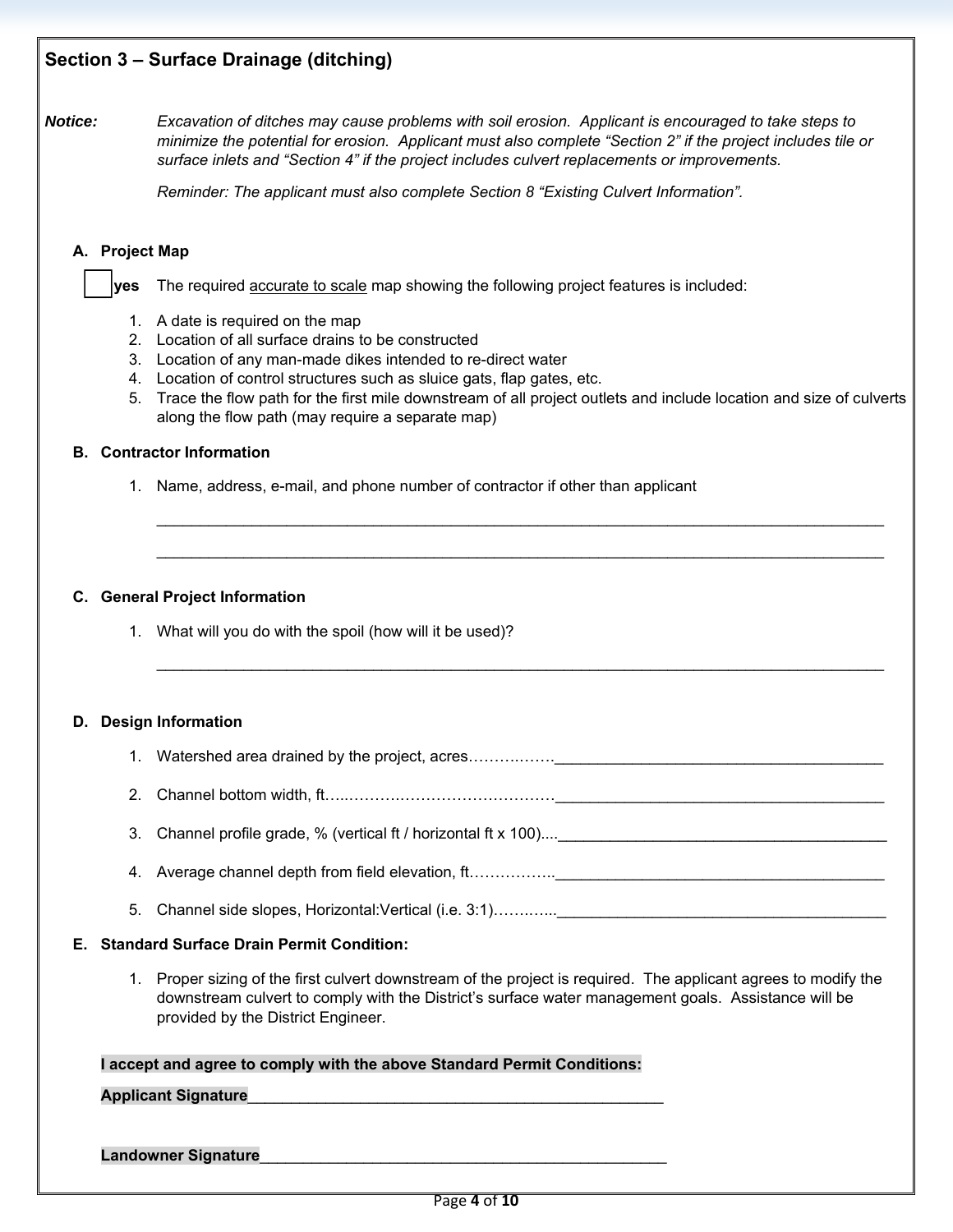## **Section 3 – Surface Drainage (ditching)**

*Notice: Excavation of ditches may cause problems with soil erosion. Applicant is encouraged to take steps to minimize the potential for erosion. Applicant must also complete "Section 2" if the project includes tile or surface inlets and "Section 4" if the project includes culvert replacements or improvements.*

*Reminder: The applicant must also complete Section 8 "Existing Culvert Information".*

### **A. Project Map**

 **yes** The required accurate to scale map showing the following project features is included:

- 1. A date is required on the map
- 2. Location of all surface drains to be constructed
- 3. Location of any man-made dikes intended to re-direct water
- 4. Location of control structures such as sluice gats, flap gates, etc.
- 5. Trace the flow path for the first mile downstream of all project outlets and include location and size of culverts along the flow path (may require a separate map)

\_\_\_\_\_\_\_\_\_\_\_\_\_\_\_\_\_\_\_\_\_\_\_\_\_\_\_\_\_\_\_\_\_\_\_\_\_\_\_\_\_\_\_\_\_\_\_\_\_\_\_\_\_\_\_\_\_\_\_\_\_\_\_\_\_\_\_\_\_\_\_\_\_\_\_\_\_\_\_\_\_\_\_\_

\_\_\_\_\_\_\_\_\_\_\_\_\_\_\_\_\_\_\_\_\_\_\_\_\_\_\_\_\_\_\_\_\_\_\_\_\_\_\_\_\_\_\_\_\_\_\_\_\_\_\_\_\_\_\_\_\_\_\_\_\_\_\_\_\_\_\_\_\_\_\_\_\_\_\_\_\_\_\_\_\_\_\_\_

\_\_\_\_\_\_\_\_\_\_\_\_\_\_\_\_\_\_\_\_\_\_\_\_\_\_\_\_\_\_\_\_\_\_\_\_\_\_\_\_\_\_\_\_\_\_\_\_\_\_\_\_\_\_\_\_\_\_\_\_\_\_\_\_\_\_\_\_\_\_\_\_\_\_\_\_\_\_\_\_\_\_\_\_

### **B. Contractor Information**

1. Name, address, e-mail, and phone number of contractor if other than applicant

### **C. General Project Information**

1. What will you do with the spoil (how will it be used)?

### **D. Design Information**

- 1. Watershed area drained by the project, acres……….…….\_\_\_\_\_\_\_\_\_\_\_\_\_\_\_\_\_\_\_\_\_\_\_\_\_\_\_\_\_\_\_\_\_\_\_\_\_\_
- 2. Channel bottom width, ft…..……….…………………………\_\_\_\_\_\_\_\_\_\_\_\_\_\_\_\_\_\_\_\_\_\_\_\_\_\_\_\_\_\_\_\_\_\_\_\_\_\_
- 3. Channel profile grade, % (vertical ft / horizontal ft x 100)....
- 4. Average channel depth from field elevation, ft…………….\_\_\_\_\_\_\_\_\_\_\_\_\_\_\_\_\_\_\_\_\_\_\_\_\_
- 5. Channel side slopes, Horizontal: Vertical (i.e. 3:1)………….

#### **E. Standard Surface Drain Permit Condition:**

1. Proper sizing of the first culvert downstream of the project is required. The applicant agrees to modify the downstream culvert to comply with the District's surface water management goals. Assistance will be provided by the District Engineer.

#### **I accept and agree to comply with the above Standard Permit Conditions:**

### **Applicant Signature**\_\_\_\_\_\_\_\_\_\_\_\_\_\_\_\_\_\_\_\_\_\_\_\_\_\_\_\_\_\_\_\_\_\_\_\_\_\_\_\_\_\_\_\_\_\_\_\_

#### Landowner Signature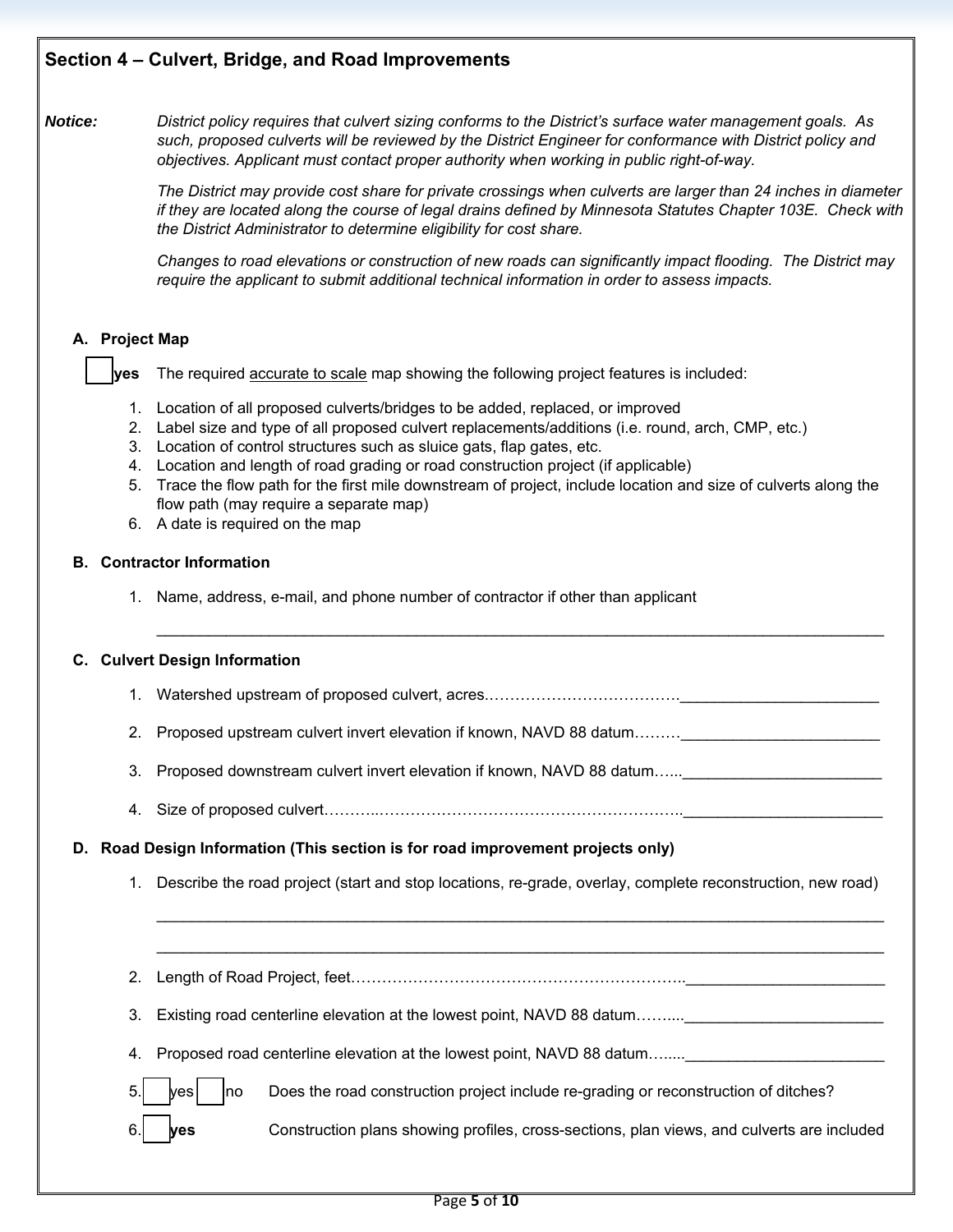*Notice: District policy requires that culvert sizing conforms to the District's surface water management goals. As such, proposed culverts will be reviewed by the District Engineer for conformance with District policy and objectives. Applicant must contact proper authority when working in public right-of-way.*

> *The District may provide cost share for private crossings when culverts are larger than 24 inches in diameter if they are located along the course of legal drains defined by Minnesota Statutes Chapter 103E. Check with the District Administrator to determine eligibility for cost share.*

> *Changes to road elevations or construction of new roads can significantly impact flooding. The District may require the applicant to submit additional technical information in order to assess impacts.*

## **A. Project Map**

 **yes** The required accurate to scale map showing the following project features is included:

- 1. Location of all proposed culverts/bridges to be added, replaced, or improved
- 2. Label size and type of all proposed culvert replacements/additions (i.e. round, arch, CMP, etc.)
- 3. Location of control structures such as sluice gats, flap gates, etc.
- 4. Location and length of road grading or road construction project (if applicable)
- 5. Trace the flow path for the first mile downstream of project, include location and size of culverts along the flow path (may require a separate map)

\_\_\_\_\_\_\_\_\_\_\_\_\_\_\_\_\_\_\_\_\_\_\_\_\_\_\_\_\_\_\_\_\_\_\_\_\_\_\_\_\_\_\_\_\_\_\_\_\_\_\_\_\_\_\_\_\_\_\_\_\_\_\_\_\_\_\_\_\_\_\_\_\_\_\_\_\_\_\_\_\_\_\_\_

6. A date is required on the map

### **B. Contractor Information**

1. Name, address, e-mail, and phone number of contractor if other than applicant

### **C. Culvert Design Information**

- 1. Watershed upstream of proposed culvert, acres..................................
- 2. Proposed upstream culvert invert elevation if known, NAVD 88 datum………
- 3. Proposed downstream culvert invert elevation if known, NAVD 88 datum......
- 4. Size of proposed culvert………..…………………………………………………..\_\_\_\_\_\_\_\_\_\_\_\_\_\_\_\_\_\_\_\_\_\_\_

### **D. Road Design Information (This section is for road improvement projects only)**

1. Describe the road project (start and stop locations, re-grade, overlay, complete reconstruction, new road)

\_\_\_\_\_\_\_\_\_\_\_\_\_\_\_\_\_\_\_\_\_\_\_\_\_\_\_\_\_\_\_\_\_\_\_\_\_\_\_\_\_\_\_\_\_\_\_\_\_\_\_\_\_\_\_\_\_\_\_\_\_\_\_\_\_\_\_\_\_\_\_\_\_\_\_\_\_\_\_\_\_\_\_\_

\_\_\_\_\_\_\_\_\_\_\_\_\_\_\_\_\_\_\_\_\_\_\_\_\_\_\_\_\_\_\_\_\_\_\_\_\_\_\_\_\_\_\_\_\_\_\_\_\_\_\_\_\_\_\_\_\_\_\_\_\_\_\_\_\_\_\_\_\_\_\_\_\_\_\_\_\_\_\_\_\_\_\_\_

- 2. Length of Road Project, feet………………………………………………………..\_\_\_\_\_\_\_\_\_\_\_\_\_\_\_\_\_\_\_\_\_\_\_
- 3. Existing road centerline elevation at the lowest point, NAVD 88 datum……...
- 4. Proposed road centerline elevation at the lowest point, NAVD 88 datum…....
- 5. yes |  $\sim$  Does the road construction project include re-grading or reconstruction of ditches?
- 6. **yes** Construction plans showing profiles, cross-sections, plan views, and culverts are included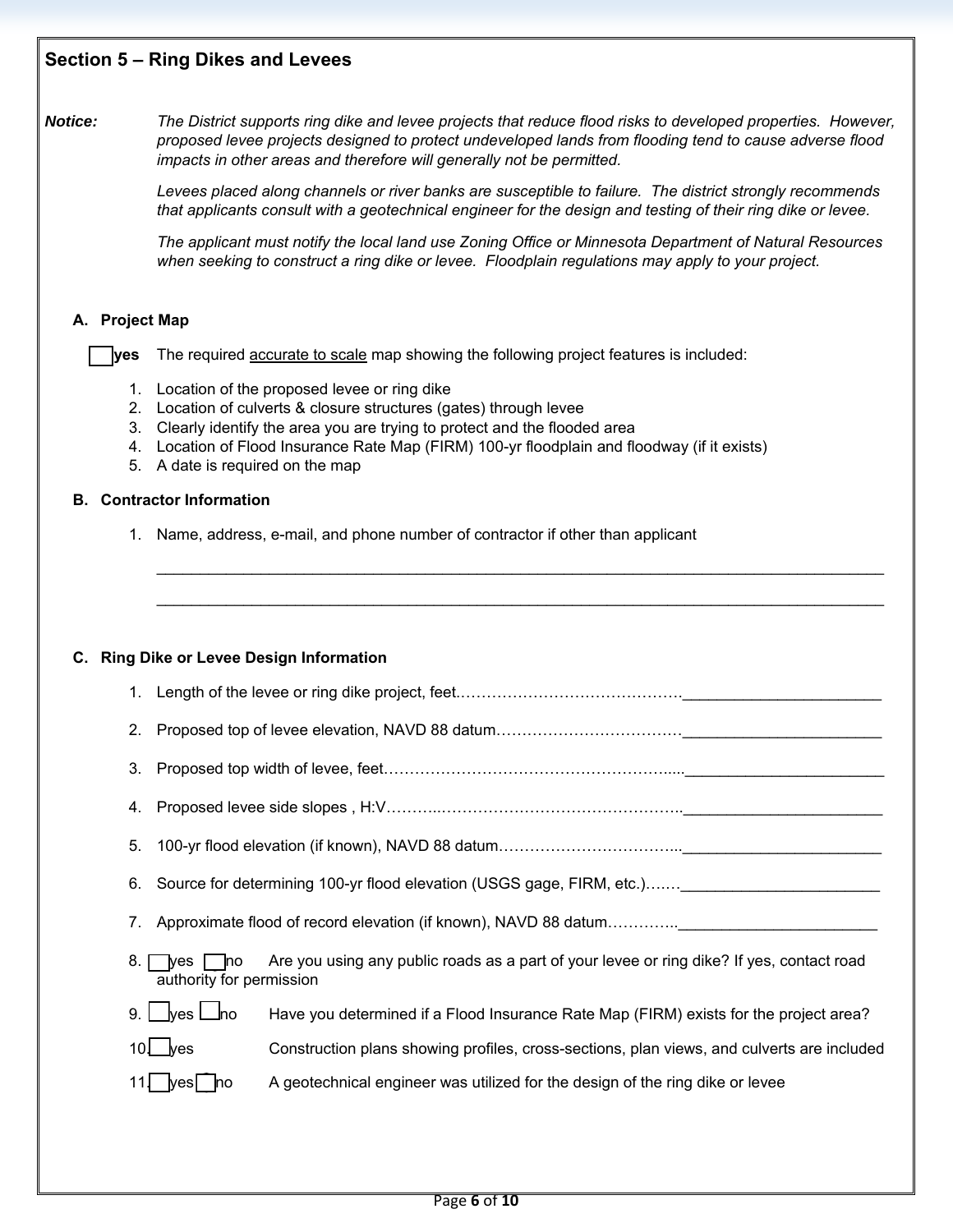## **Section 5 – Ring Dikes and Levees**

*Notice: The District supports ring dike and levee projects that reduce flood risks to developed properties. However, proposed levee projects designed to protect undeveloped lands from flooding tend to cause adverse flood impacts in other areas and therefore will generally not be permitted.*

> *Levees placed along channels or river banks are susceptible to failure. The district strongly recommends that applicants consult with a geotechnical engineer for the design and testing of their ring dike or levee.*

> *The applicant must notify the local land use Zoning Office or Minnesota Department of Natural Resources when seeking to construct a ring dike or levee. Floodplain regulations may apply to your project.*

## **A. Project Map**

 **yes** The required accurate to scale map showing the following project features is included:

- 1. Location of the proposed levee or ring dike
- 2. Location of culverts & closure structures (gates) through levee
- 3. Clearly identify the area you are trying to protect and the flooded area
- 4. Location of Flood Insurance Rate Map (FIRM) 100-yr floodplain and floodway (if it exists)
- 5. A date is required on the map

### **B. Contractor Information**

1. Name, address, e-mail, and phone number of contractor if other than applicant

## **C. Ring Dike or Levee Design Information**

1. Length of the levee or ring dike project, feet.…………………………………….\_\_\_\_\_\_\_\_\_\_\_\_\_\_\_\_\_\_\_\_\_\_\_

\_\_\_\_\_\_\_\_\_\_\_\_\_\_\_\_\_\_\_\_\_\_\_\_\_\_\_\_\_\_\_\_\_\_\_\_\_\_\_\_\_\_\_\_\_\_\_\_\_\_\_\_\_\_\_\_\_\_\_\_\_\_\_\_\_\_\_\_\_\_\_\_\_\_\_\_\_\_\_\_\_\_\_\_

\_\_\_\_\_\_\_\_\_\_\_\_\_\_\_\_\_\_\_\_\_\_\_\_\_\_\_\_\_\_\_\_\_\_\_\_\_\_\_\_\_\_\_\_\_\_\_\_\_\_\_\_\_\_\_\_\_\_\_\_\_\_\_\_\_\_\_\_\_\_\_\_\_\_\_\_\_\_\_\_\_\_\_\_

- 2. Proposed top of levee elevation, NAVD 88 datum……………………………………
- 3. Proposed top width of levee, feet……………………………………………….....\_\_\_\_\_\_\_\_\_\_\_\_\_\_\_\_\_\_\_\_\_\_\_
- 4. Proposed levee side slopes , H:V………..………………………………………..\_\_\_\_\_\_\_\_\_\_\_\_\_\_\_\_\_\_\_\_\_\_\_
- 5. 100-yr flood elevation (if known), NAVD 88 datum……………………………...\_\_\_\_\_\_\_\_\_\_\_\_\_\_\_\_\_\_\_\_\_\_\_
- 6. Source for determining 100-yr flood elevation (USGS gage, FIRM, etc.)…....\_\_\_\_\_\_\_\_\_\_\_\_\_\_\_\_\_\_\_\_\_\_\_
- 7. Approximate flood of record elevation (if known), NAVD 88 datum………….
- 8. yes no Are you using any public roads as a part of your levee or ring dike? If yes, contact road authority for permission
- 9. Wes L no Have you determined if a Flood Insurance Rate Map (FIRM) exists for the project area?
- 10. yes Construction plans showing profiles, cross-sections, plan views, and culverts are included
- 11. yes no A geotechnical engineer was utilized for the design of the ring dike or levee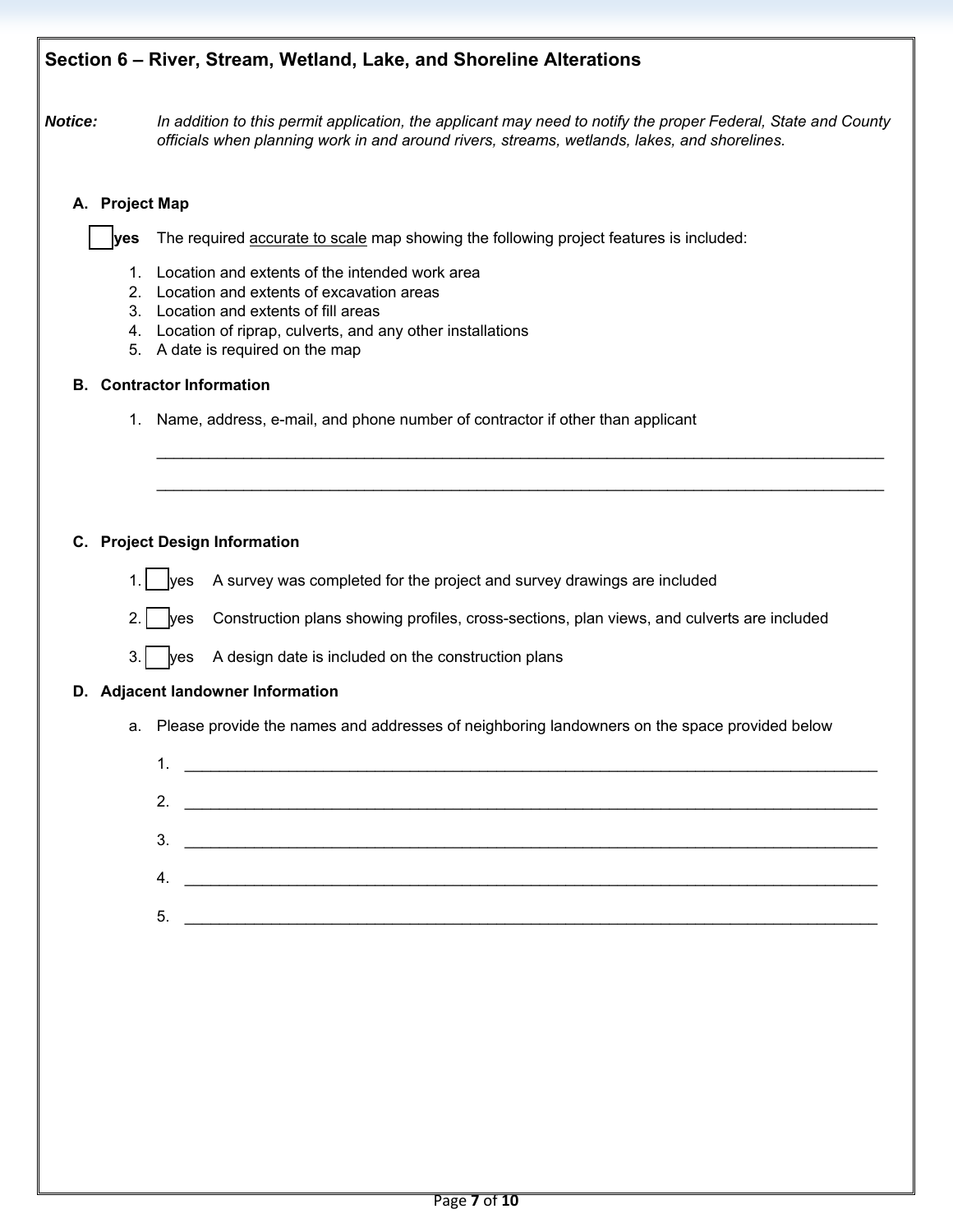# **Section 6 – River, Stream, Wetland, Lake, and Shoreline Alterations**

*Notice: In addition to this permit application, the applicant may need to notify the proper Federal, State and County officials when planning work in and around rivers, streams, wetlands, lakes, and shorelines.*

\_\_\_\_\_\_\_\_\_\_\_\_\_\_\_\_\_\_\_\_\_\_\_\_\_\_\_\_\_\_\_\_\_\_\_\_\_\_\_\_\_\_\_\_\_\_\_\_\_\_\_\_\_\_\_\_\_\_\_\_\_\_\_\_\_\_\_\_\_\_\_\_\_\_\_\_\_\_\_\_\_\_\_\_

\_\_\_\_\_\_\_\_\_\_\_\_\_\_\_\_\_\_\_\_\_\_\_\_\_\_\_\_\_\_\_\_\_\_\_\_\_\_\_\_\_\_\_\_\_\_\_\_\_\_\_\_\_\_\_\_\_\_\_\_\_\_\_\_\_\_\_\_\_\_\_\_\_\_\_\_\_\_\_\_\_\_\_\_

## **A. Project Map**

 **yes** The required accurate to scale map showing the following project features is included:

- 1. Location and extents of the intended work area
- 2. Location and extents of excavation areas
- 3. Location and extents of fill areas
- 4. Location of riprap, culverts, and any other installations
- 5. A date is required on the map

## **B. Contractor Information**

1. Name, address, e-mail, and phone number of contractor if other than applicant

## **C. Project Design Information**

- 1. yes A survey was completed for the project and survey drawings are included
- 2. yes Construction plans showing profiles, cross-sections, plan views, and culverts are included
- $3.$  yes A design date is included on the construction plans

## **D. Adjacent landowner Information**

a. Please provide the names and addresses of neighboring landowners on the space provided below

|    | 2. $\qquad \qquad$                                     |
|----|--------------------------------------------------------|
|    | 3.                                                     |
| 4. | <u> 1980 - Johann Stein, mars an t-Amerikaansk fer</u> |
|    |                                                        |
| 5. |                                                        |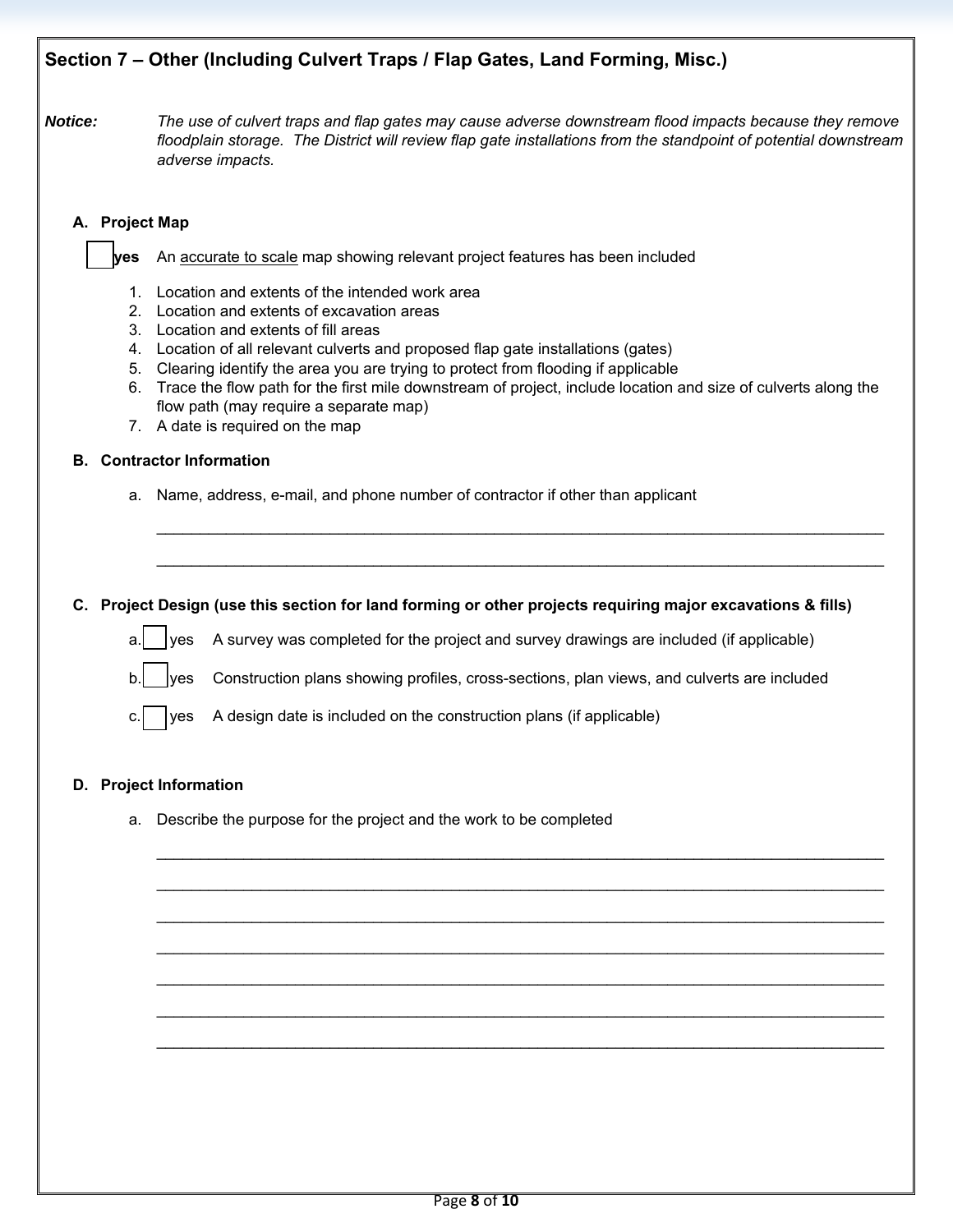# **Section 7 – Other (Including Culvert Traps / Flap Gates, Land Forming, Misc.)**

*Notice: The use of culvert traps and flap gates may cause adverse downstream flood impacts because they remove floodplain storage. The District will review flap gate installations from the standpoint of potential downstream adverse impacts.*

## **A. Project Map**

 **yes** An accurate to scale map showing relevant project features has been included

- 1. Location and extents of the intended work area
- 2. Location and extents of excavation areas
- 3. Location and extents of fill areas
- 4. Location of all relevant culverts and proposed flap gate installations (gates)
- 5. Clearing identify the area you are trying to protect from flooding if applicable
- 6. Trace the flow path for the first mile downstream of project, include location and size of culverts along the flow path (may require a separate map)

\_\_\_\_\_\_\_\_\_\_\_\_\_\_\_\_\_\_\_\_\_\_\_\_\_\_\_\_\_\_\_\_\_\_\_\_\_\_\_\_\_\_\_\_\_\_\_\_\_\_\_\_\_\_\_\_\_\_\_\_\_\_\_\_\_\_\_\_\_\_\_\_\_\_\_\_\_\_\_\_\_\_\_\_

\_\_\_\_\_\_\_\_\_\_\_\_\_\_\_\_\_\_\_\_\_\_\_\_\_\_\_\_\_\_\_\_\_\_\_\_\_\_\_\_\_\_\_\_\_\_\_\_\_\_\_\_\_\_\_\_\_\_\_\_\_\_\_\_\_\_\_\_\_\_\_\_\_\_\_\_\_\_\_\_\_\_\_\_

\_\_\_\_\_\_\_\_\_\_\_\_\_\_\_\_\_\_\_\_\_\_\_\_\_\_\_\_\_\_\_\_\_\_\_\_\_\_\_\_\_\_\_\_\_\_\_\_\_\_\_\_\_\_\_\_\_\_\_\_\_\_\_\_\_\_\_\_\_\_\_\_\_\_\_\_\_\_\_\_\_\_\_\_

\_\_\_\_\_\_\_\_\_\_\_\_\_\_\_\_\_\_\_\_\_\_\_\_\_\_\_\_\_\_\_\_\_\_\_\_\_\_\_\_\_\_\_\_\_\_\_\_\_\_\_\_\_\_\_\_\_\_\_\_\_\_\_\_\_\_\_\_\_\_\_\_\_\_\_\_\_\_\_\_\_\_\_\_

\_\_\_\_\_\_\_\_\_\_\_\_\_\_\_\_\_\_\_\_\_\_\_\_\_\_\_\_\_\_\_\_\_\_\_\_\_\_\_\_\_\_\_\_\_\_\_\_\_\_\_\_\_\_\_\_\_\_\_\_\_\_\_\_\_\_\_\_\_\_\_\_\_\_\_\_\_\_\_\_\_\_\_\_

\_\_\_\_\_\_\_\_\_\_\_\_\_\_\_\_\_\_\_\_\_\_\_\_\_\_\_\_\_\_\_\_\_\_\_\_\_\_\_\_\_\_\_\_\_\_\_\_\_\_\_\_\_\_\_\_\_\_\_\_\_\_\_\_\_\_\_\_\_\_\_\_\_\_\_\_\_\_\_\_\_\_\_\_

\_\_\_\_\_\_\_\_\_\_\_\_\_\_\_\_\_\_\_\_\_\_\_\_\_\_\_\_\_\_\_\_\_\_\_\_\_\_\_\_\_\_\_\_\_\_\_\_\_\_\_\_\_\_\_\_\_\_\_\_\_\_\_\_\_\_\_\_\_\_\_\_\_\_\_\_\_\_\_\_\_\_\_\_

\_\_\_\_\_\_\_\_\_\_\_\_\_\_\_\_\_\_\_\_\_\_\_\_\_\_\_\_\_\_\_\_\_\_\_\_\_\_\_\_\_\_\_\_\_\_\_\_\_\_\_\_\_\_\_\_\_\_\_\_\_\_\_\_\_\_\_\_\_\_\_\_\_\_\_\_\_\_\_\_\_\_\_\_

\_\_\_\_\_\_\_\_\_\_\_\_\_\_\_\_\_\_\_\_\_\_\_\_\_\_\_\_\_\_\_\_\_\_\_\_\_\_\_\_\_\_\_\_\_\_\_\_\_\_\_\_\_\_\_\_\_\_\_\_\_\_\_\_\_\_\_\_\_\_\_\_\_\_\_\_\_\_\_\_\_\_\_\_

7. A date is required on the map

## **B. Contractor Information**

a. Name, address, e-mail, and phone number of contractor if other than applicant

## **C. Project Design (use this section for land forming or other projects requiring major excavations & fills)**

a. yes A survey was completed for the project and survey drawings are included (if applicable)

 $\mathsf{b}$ . yes Construction plans showing profiles, cross-sections, plan views, and culverts are included

c.  $|$  yes A design date is included on the construction plans (if applicable)

### **D. Project Information**

a. Describe the purpose for the project and the work to be completed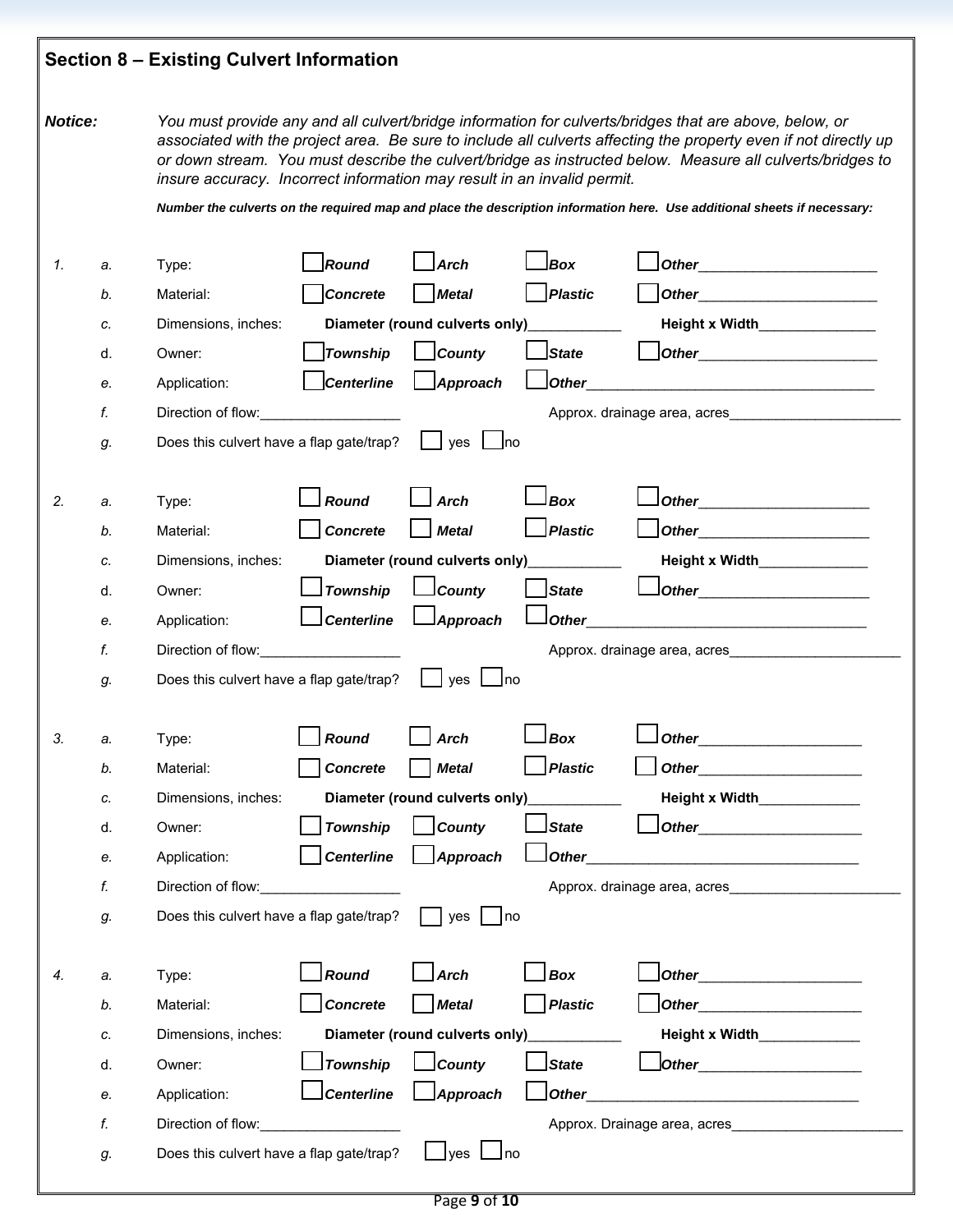# **Section 8 – Existing Culvert Information**

*Notice: You must provide any and all culvert/bridge information for culverts/bridges that are above, below, or associated with the project area. Be sure to include all culverts affecting the property even if not directly up or down stream. You must describe the culvert/bridge as instructed below. Measure all culverts/bridges to insure accuracy. Incorrect information may result in an invalid permit.*

*Number the culverts on the required map and place the description information here. Use additional sheets if necessary:* 

|    |    |                                                                                                                                                                                                                                |                   | <b>Arch</b>                      | Box            | <b>Other</b>                                                                                                                                                                                                                         |
|----|----|--------------------------------------------------------------------------------------------------------------------------------------------------------------------------------------------------------------------------------|-------------------|----------------------------------|----------------|--------------------------------------------------------------------------------------------------------------------------------------------------------------------------------------------------------------------------------------|
|    | b. | Material:                                                                                                                                                                                                                      | <b>Concrete</b>   | <b>Metal</b>                     | <b>Plastic</b> | <b>Other Contract Contract Contract Contract Contract Contract Contract Contract Contract Contract Contract Contract Contract Contract Contract Contract Contract Contract Contract Contract Contract Contract Contract Contra</b>   |
|    | C. | Dimensions, inches:                                                                                                                                                                                                            |                   | Diameter (round culverts only)   |                | Height x Width Learner                                                                                                                                                                                                               |
|    | d. | Owner:                                                                                                                                                                                                                         | <b>Township</b>   | County                           | State          | Other_________________________                                                                                                                                                                                                       |
|    | е. | Application:                                                                                                                                                                                                                   | <b>Centerline</b> | Approach                         | Other          | <u> 1980 - Jan Barbara Barbara, manazarta da </u>                                                                                                                                                                                    |
|    | f. |                                                                                                                                                                                                                                |                   |                                  |                | Approx. drainage area, acres                                                                                                                                                                                                         |
|    | g. | Does this culvert have a flap gate/trap?                                                                                                                                                                                       |                   | ves<br>– Ino                     |                |                                                                                                                                                                                                                                      |
|    |    |                                                                                                                                                                                                                                |                   |                                  |                |                                                                                                                                                                                                                                      |
| 2. | a. | Type:                                                                                                                                                                                                                          | Round             | <b>Arch</b>                      | <b>Box</b>     |                                                                                                                                                                                                                                      |
|    | b. | Material:                                                                                                                                                                                                                      | <b>Concrete</b>   | <b>Metal</b>                     | <b>Plastic</b> |                                                                                                                                                                                                                                      |
|    | C. | Dimensions, inches:                                                                                                                                                                                                            |                   | Diameter (round culverts only)   |                | Height x Width<br>Letteral Management Management Management Management Management Management Management Management Management Ma                                                                                                     |
|    | d. | Owner:                                                                                                                                                                                                                         | Township          | $\mathsf{\mathsf{\bot} }$ County | <b>State</b>   |                                                                                                                                                                                                                                      |
|    | е. | Application:                                                                                                                                                                                                                   | <b>Centerline</b> | $\lvert$ Approach                | l Other        |                                                                                                                                                                                                                                      |
|    | f. | Direction of flow: Note that the state of the state of the state of the state of the state of the state of the state of the state of the state of the state of the state of the state of the state of the state of the state o |                   |                                  |                |                                                                                                                                                                                                                                      |
|    | g. | Does this culvert have a flap gate/trap?                                                                                                                                                                                       |                   | $yes$   $ no$                    |                |                                                                                                                                                                                                                                      |
|    |    |                                                                                                                                                                                                                                |                   |                                  |                |                                                                                                                                                                                                                                      |
| 3. | a. | Type:                                                                                                                                                                                                                          | Round             | <b>Arch</b>                      | <b>Box</b>     |                                                                                                                                                                                                                                      |
|    | b. | Material:                                                                                                                                                                                                                      | <b>Concrete</b>   | <b>Metal</b>                     | Plastic        | Other <b>Communication</b>                                                                                                                                                                                                           |
|    | c. | Dimensions, inches:                                                                                                                                                                                                            |                   | Diameter (round culverts only)   |                | Height x Width_____________                                                                                                                                                                                                          |
|    | d. | Owner:                                                                                                                                                                                                                         | <b>Township</b>   | <b>County</b>                    | <b>State</b>   | Other <u>with the set of the set of the set of the set of the set of the set of the set of the set of the set of the set of the set of the set of the set of the set of the set of the set of the set of the set of the set of t</u> |
|    | е. | Application:                                                                                                                                                                                                                   | <b>Centerline</b> | Approach                         | <b>Other</b>   |                                                                                                                                                                                                                                      |
|    | f. | Direction of flow: Note that the state of the state of the state of the state of the state of the state of the state of the state of the state of the state of the state of the state of the state of the state of the state o |                   |                                  |                | Approx. drainage area, acres                                                                                                                                                                                                         |
|    | g. | Does this culvert have a flap gate/trap?                                                                                                                                                                                       |                   | yes<br> no                       |                |                                                                                                                                                                                                                                      |
|    |    |                                                                                                                                                                                                                                |                   |                                  |                |                                                                                                                                                                                                                                      |
| 4. | a. | Type:                                                                                                                                                                                                                          | Round             | Arch                             | <b>Box</b>     |                                                                                                                                                                                                                                      |
|    | b. | Material:                                                                                                                                                                                                                      | <b>Concrete</b>   | <b>Metal</b>                     | Plastic        | Other_                                                                                                                                                                                                                               |
|    | c. | Dimensions, inches:                                                                                                                                                                                                            |                   | Diameter (round culverts only)   |                | Height x Width_____________                                                                                                                                                                                                          |
|    | d. | Owner:                                                                                                                                                                                                                         | <b>Township</b>   | County                           | State          |                                                                                                                                                                                                                                      |
|    | е. | Application:                                                                                                                                                                                                                   | <b>Centerline</b> | Approach                         | Other          | <u> 1989 - Johann Barbara, martin amerikan basar dan basa dan basa dan basa dalam basa dalam basa dalam basa dala</u>                                                                                                                |
|    | f. | Direction of flow:                                                                                                                                                                                                             |                   |                                  |                |                                                                                                                                                                                                                                      |
|    |    | Does this culvert have a flap gate/trap?                                                                                                                                                                                       |                   | yes ∟no                          |                |                                                                                                                                                                                                                                      |